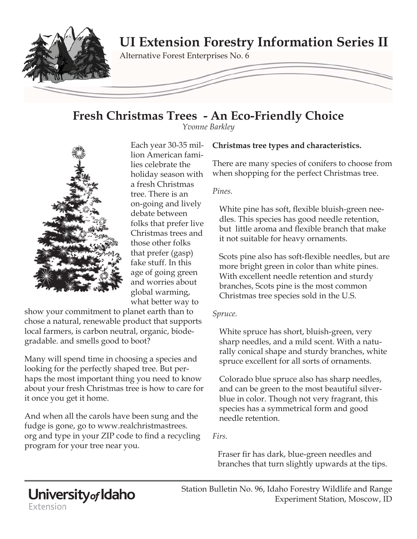

# **Fresh Christmas Trees - An Eco-Friendly Choice**

*Yvonne Barkley*



Each year 30-35 million American families celebrate the holiday season with a fresh Christmas tree. There is an on-going and lively debate between folks that prefer live Christmas trees and those other folks that prefer (gasp) fake stuff. In this age of going green and worries about global warming, what better way to

show your commitment to planet earth than to chose a natural, renewable product that supports local farmers, is carbon neutral, organic, biodegradable. and smells good to boot?

Many will spend time in choosing a species and looking for the perfectly shaped tree. But perhaps the most important thing you need to know about your fresh Christmas tree is how to care for it once you get it home.

And when all the carols have been sung and the fudge is gone, go to www.realchristmastrees. org and type in your ZIP code to find a recycling program for your tree near you.

### **Christmas tree types and characteristics.**

There are many species of conifers to choose from when shopping for the perfect Christmas tree.

### *Pines.*

White pine has soft, flexible bluish-green needles. This species has good needle retention, but little aroma and flexible branch that make it not suitable for heavy ornaments.

Scots pine also has soft-flexible needles, but are more bright green in color than white pines. With excellent needle retention and sturdy branches, Scots pine is the most common Christmas tree species sold in the U.S.

#### *Spruce.*

White spruce has short, bluish-green, very sharp needles, and a mild scent. With a naturally conical shape and sturdy branches, white spruce excellent for all sorts of ornaments.

Colorado blue spruce also has sharp needles, and can be green to the most beautiful silverblue in color. Though not very fragrant, this species has a symmetrical form and good needle retention.

*Firs.*

Fraser fir has dark, blue-green needles and branches that turn slightly upwards at the tips.

# University<sub>of</sub> Idaho Extension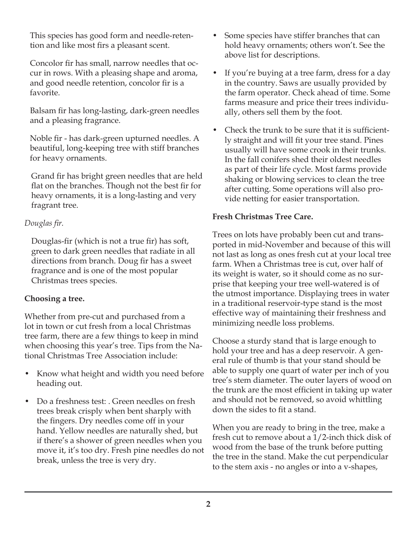This species has good form and needle-retention and like most firs a pleasant scent.

Concolor fir has small, narrow needles that occur in rows. With a pleasing shape and aroma, and good needle retention, concolor fir is a favorite.

Balsam fir has long-lasting, dark-green needles and a pleasing fragrance.

Noble fir - has dark-green upturned needles. A beautiful, long-keeping tree with stiff branches for heavy ornaments.

Grand fir has bright green needles that are held flat on the branches. Though not the best fir for heavy ornaments, it is a long-lasting and very fragrant tree.

# *Douglas fir.*

Douglas-fir (which is not a true fir) has soft, green to dark green needles that radiate in all directions from branch. Doug fir has a sweet fragrance and is one of the most popular Christmas trees species.

# **Choosing a tree.**

Whether from pre-cut and purchased from a lot in town or cut fresh from a local Christmas tree farm, there are a few things to keep in mind when choosing this year's tree. Tips from the National Christmas Tree Association include:

- Know what height and width you need before heading out.
- Do a freshness test: . Green needles on fresh trees break crisply when bent sharply with the fingers. Dry needles come off in your hand. Yellow needles are naturally shed, but if there's a shower of green needles when you move it, it's too dry. Fresh pine needles do not break, unless the tree is very dry.
- Some species have stiffer branches that can hold heavy ornaments; others won't. See the above list for descriptions.
- If you're buying at a tree farm, dress for a day in the country. Saws are usually provided by the farm operator. Check ahead of time. Some farms measure and price their trees individually, others sell them by the foot.
- Check the trunk to be sure that it is sufficiently straight and will fit your tree stand. Pines usually will have some crook in their trunks. In the fall conifers shed their oldest needles as part of their life cycle. Most farms provide shaking or blowing services to clean the tree after cutting. Some operations will also provide netting for easier transportation.

# **Fresh Christmas Tree Care.**

Trees on lots have probably been cut and transported in mid-November and because of this will not last as long as ones fresh cut at your local tree farm. When a Christmas tree is cut, over half of its weight is water, so it should come as no surprise that keeping your tree well-watered is of the utmost importance. Displaying trees in water in a traditional reservoir-type stand is the most effective way of maintaining their freshness and minimizing needle loss problems.

Choose a sturdy stand that is large enough to hold your tree and has a deep reservoir. A general rule of thumb is that your stand should be able to supply one quart of water per inch of you tree's stem diameter. The outer layers of wood on the trunk are the most efficient in taking up water and should not be removed, so avoid whittling down the sides to fit a stand.

When you are ready to bring in the tree, make a fresh cut to remove about a 1/2-inch thick disk of wood from the base of the trunk before putting the tree in the stand. Make the cut perpendicular to the stem axis - no angles or into a v-shapes,